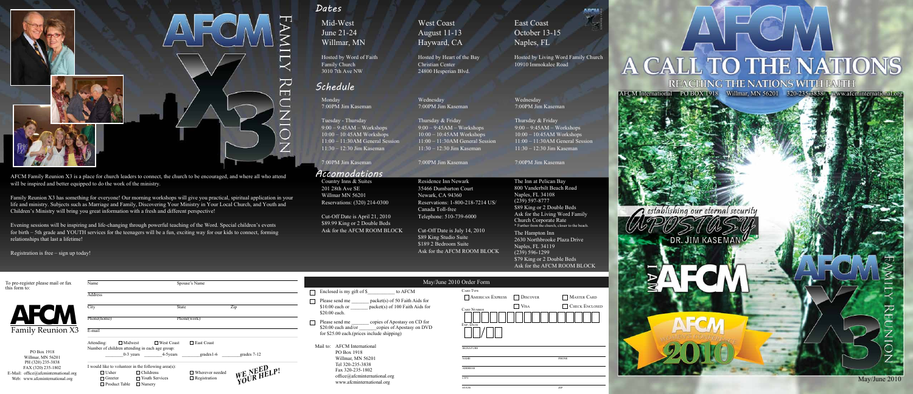

|  | May/June 2010 Order Form' |  |
|--|---------------------------|--|

| <b>CARD TYPE</b>        |                 |                       |
|-------------------------|-----------------|-----------------------|
| <b>AMERICAN EXPRESS</b> | <b>DISCOVER</b> | <b>MASTER CARD</b>    |
| <b>CARD NUMBER</b>      | <b>VISA</b>     | <b>CHECK ENCLOSED</b> |
|                         |                 |                       |
| EXP. DATE               |                 |                       |
| <b>SIGNATURE</b>        |                 |                       |
| <b>NAME</b>             |                 | PHONE                 |
| <b>ADDRESS</b>          |                 |                       |
| <b>CITY</b>             |                 |                       |
| <b>STATE</b>            |                 | ZIP                   |

# A CALL TO THE NATIONS REACHING THE NATIONS WITH FAITH

establishing our eternal security **JIM KASEMAI** 

## *Dates*

Mid-West June 21-24 Willmar, MN

Hosted by Word of Faith Family Church 3010 7th Ave NW

West Coast August 11-13 Hayward, CA

Hosted by Heart of the Bay Christian Center 24800 Hesperian Blvd.



AFCM Family Reunion X3 is a place for church leaders to connect, the church to be encouraged, and where all who attend *Accomodations* will be inspired and better equipped to do the work of the ministry.

Residence Inn Newark 35466 Dumbarton Court Newark, CA 94360 Reservations: 1-800-218-7214 US/ Canada Toll-free Telephone: 510-739-6000

Cut-Off Date is July 14, 2010 Ask for the AFCM ROOM BLOCK

\$89 King Studio Suite \$189 2 Bedroom Suite East Coast October 13-15 Naples, FL

Hosted by Living Word Family Church 10910 Immokalee Road

| To pre-register please mail or fax                                                                                                                    | Name                                                                                                                                                                  | Spouse's Name                                           | May/Jun                                                                                                                                                                        |  |
|-------------------------------------------------------------------------------------------------------------------------------------------------------|-----------------------------------------------------------------------------------------------------------------------------------------------------------------------|---------------------------------------------------------|--------------------------------------------------------------------------------------------------------------------------------------------------------------------------------|--|
| this form to:                                                                                                                                         | Address                                                                                                                                                               |                                                         | Enclosed is my gift of \$<br>to AFCM                                                                                                                                           |  |
|                                                                                                                                                       | City<br>State                                                                                                                                                         | Zip                                                     | packet(s) of 50 Faith Aids for<br>Please send me<br>$$10.00$ each or<br>packet(s) of 100 Faith Aids for<br>\$20.00 each.                                                       |  |
| <b>Family Reunion X3</b>                                                                                                                              | Phone(home)<br>E-mail                                                                                                                                                 | Phone(work)                                             | copies of Apostasy on CD for<br>Please send me<br>$$20.00$ each and/or<br>copies of Apostasy on DVD<br>for \$25.00 each.(prices include shipping)                              |  |
| PO Box 1918<br>Willmar, MN 56201<br>PH (320) 235-3838<br>FAX (320) 235-1802<br>E-Mail: office@afcminternational.org<br>Web: www.afcminternational.org | $\Box$ Midwest<br>$\Box$ West Coast<br>Attending:<br>Number of children attending in each age group:<br>4-5 years<br>$0-3$ years                                      | □ East Coast<br>grades 7-12<br>grades $1-6$             | <b>AFCM</b> International<br>Mail to:<br>PO Box 1918<br>Willmar, MN 56201<br>Tel 320-235-3838<br>Fax 320-235-1802<br>office@afcminternational.org<br>www.afcminternational.org |  |
|                                                                                                                                                       | I would like to volunteer in the following area(s):<br>$\Box$ Childrens<br>$\Box$ Usher<br>$\Box$ Greeter<br>$\Box$ Youth Services<br>Product Table<br>$\Box$ Nursery | WE NEED LP!<br>□ Wherever needed<br>$\Box$ Registration |                                                                                                                                                                                |  |

The Inn at Pelican Bay 800 Vanderbilt Beach Road Naples, FL 34108 (239) 597-8777 \$89 King or 2 Double Beds Ask for the Living Word Family Church Corporate Rate \* Further from the church, closer to the beach.

The Hampton Inn 2630 Northbrooke Plaza Drive Naples, FL 34119  $(239)$  596-1299 \$79 King or 2 Double Beds Ask for the AFCM ROOM BLOCK

Country Inns & Suites 201 28th Ave SE Willmar MN 56201 Reservations: (320) 214-0300

Cut-Off Date is April 21, 2010 \$89.99 King or 2 Double Beds Ask for the AFCM ROOM BLOCK

Monday 7:00PM Jim Kaseman

Tuesday - Thursday 9:00 – 9:45AM – Workshops 10:00 – 10:45AM Workshops 11:00 – 11:30AM General Session 11:30 – 12:30 Jim Kaseman

7:00PM Jim Kaseman

Wednesday

7:00PM Jim Kaseman

Thursday & Friday 9:00 – 9:45AM – Workshops 10:00 – 10:45AM Workshops 11:00 – 11:30AM General Session 11:30 – 12:30 Jim Kaseman

7:00PM Jim Kaseman

Wednesday 7:00PM Jim Kaseman

Thursday & Friday 9:00 – 9:45AM – Workshops 10:00 – 10:45AM Workshops 11:00 – 11:30AM General Session 11:30 – 12:30 Jim Kaseman

7:00PM Jim Kaseman

# *Schedule*

Family Reunion X3 has something for everyone! Our morning workshops will give you practical, spiritual application in your life and ministry. Subjects such as Marriage and Family, Discovering Your Ministry in Your Local Church, and Youth and Children's Ministry will bring you great information with a fresh and different perspective!

Evening sessions will be inspiring and life-changing through powerful teaching of the Word. Special children's events for birth – 5th grade and YOUTH services for the teenagers will be a fun, exciting way for our kids to connect, forming relationships that last a lifetime!

Registration is free – sign up today!